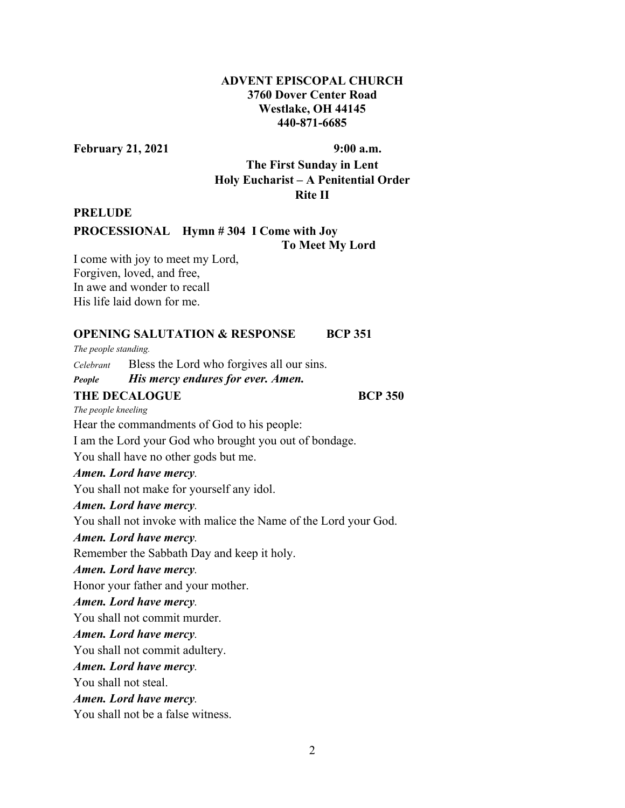### **ADVENT EPISCOPAL CHURCH 3760 Dover Center Road Westlake, OH 44145 440-871-6685**

**February 21, 2021** 9:00 a.m.

## **The First Sunday in Lent Holy Eucharist – A Penitential Order Rite II**

### **PRELUDE**

**PROCESSIONAL Hymn # 304 I Come with Joy To Meet My Lord** 

I come with joy to meet my Lord, Forgiven, loved, and free, In awe and wonder to recall His life laid down for me.

### **OPENING SALUTATION & RESPONSE BCP 351**

*The people standing.* 

*Celebrant* Bless the Lord who forgives all our sins. *People His mercy endures for ever. Amen.* THE DECALOGUE BCP 350 *The people kneeling*  Hear the commandments of God to his people: I am the Lord your God who brought you out of bondage. You shall have no other gods but me. *Amen. Lord have mercy.*  You shall not make for yourself any idol. *Amen. Lord have mercy.*  You shall not invoke with malice the Name of the Lord your God. *Amen. Lord have mercy.*  Remember the Sabbath Day and keep it holy. *Amen. Lord have mercy.*  Honor your father and your mother. *Amen. Lord have mercy.*  You shall not commit murder. *Amen. Lord have mercy.*  You shall not commit adultery. *Amen. Lord have mercy.*  You shall not steal. *Amen. Lord have mercy.*  You shall not be a false witness.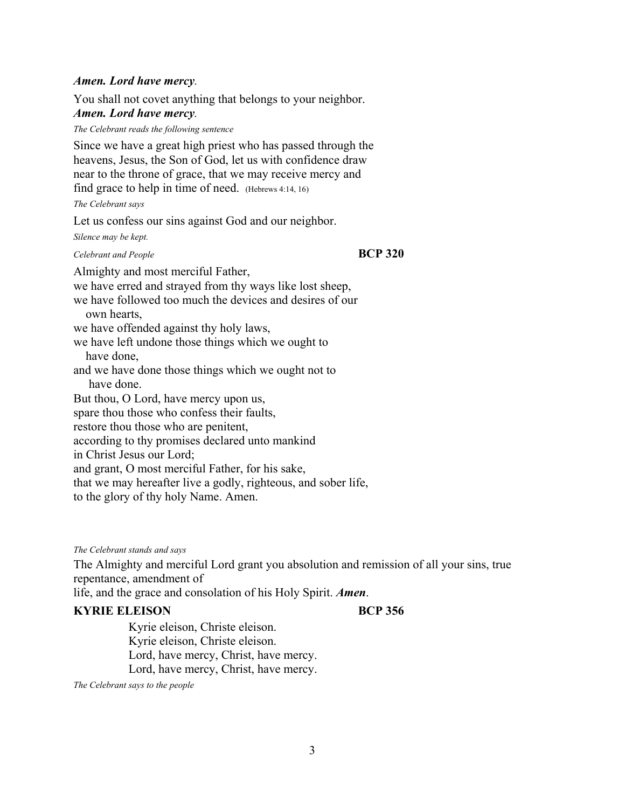### *Amen. Lord have mercy.*

You shall not covet anything that belongs to your neighbor. *Amen. Lord have mercy.* 

*The Celebrant reads the following sentence* 

Since we have a great high priest who has passed through the heavens, Jesus, the Son of God, let us with confidence draw near to the throne of grace, that we may receive mercy and find grace to help in time of need. (Hebrews 4:14, 16)

*The Celebrant says* 

Let us confess our sins against God and our neighbor.

*Silence may be kept.* 

*Celebrant and People* **BCP 320** 

Almighty and most merciful Father, we have erred and strayed from thy ways like lost sheep, we have followed too much the devices and desires of our own hearts, we have offended against thy holy laws, we have left undone those things which we ought to have done, and we have done those things which we ought not to have done. But thou, O Lord, have mercy upon us, spare thou those who confess their faults, restore thou those who are penitent, according to thy promises declared unto mankind in Christ Jesus our Lord; and grant, O most merciful Father, for his sake, that we may hereafter live a godly, righteous, and sober life,

to the glory of thy holy Name. Amen.

*The Celebrant stands and says* 

The Almighty and merciful Lord grant you absolution and remission of all your sins, true repentance, amendment of

life, and the grace and consolation of his Holy Spirit. *Amen*.

### **KYRIE ELEISON BCP 356**

Kyrie eleison, Christe eleison. Kyrie eleison, Christe eleison. Lord, have mercy, Christ, have mercy. Lord, have mercy, Christ, have mercy.

*The Celebrant says to the people*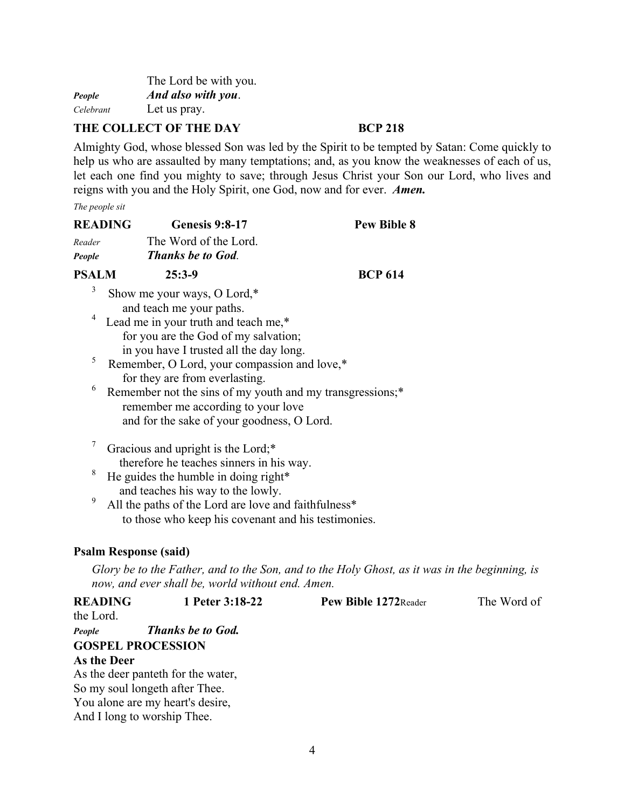The Lord be with you. *People And also with you*. *Celebrant* Let us pray.

### THE COLLECT OF THE DAY **BCP 218**

Almighty God, whose blessed Son was led by the Spirit to be tempted by Satan: Come quickly to help us who are assaulted by many temptations; and, as you know the weaknesses of each of us, let each one find you mighty to save; through Jesus Christ your Son our Lord, who lives and reigns with you and the Holy Spirit, one God, now and for ever. *Amen.*

*The people sit* 

|              | <b>READING</b><br><b>Genesis 9:8-17</b>                   | <b>Pew Bible 8</b> |
|--------------|-----------------------------------------------------------|--------------------|
| Reader       | The Word of the Lord.                                     |                    |
| People       | <b>Thanks be to God.</b>                                  |                    |
| <b>PSALM</b> | $25:3-9$                                                  | <b>BCP 614</b>     |
| 3            | Show me your ways, O Lord,*                               |                    |
| 4            | and teach me your paths.                                  |                    |
|              | Lead me in your truth and teach me,*                      |                    |
|              | for you are the God of my salvation;                      |                    |
|              | in you have I trusted all the day long.                   |                    |
| 5            | Remember, O Lord, your compassion and love,*              |                    |
| 6            | for they are from everlasting.                            |                    |
|              | Remember not the sins of my youth and my transgressions;* |                    |
|              | remember me according to your love                        |                    |

- and for the sake of your goodness, O Lord.
- $7$  Gracious and upright is the Lord;\* therefore he teaches sinners in his way.<br><sup>8</sup> He quides the bumble in doing right\*
- He guides the humble in doing right\* and teaches his way to the lowly.<br> $\frac{9}{2}$  All the paths of the Lord are love and
- All the paths of the Lord are love and faithfulness\* to those who keep his covenant and his testimonies.

### **Psalm Response (said)**

*Glory be to the Father, and to the Son, and to the Holy Ghost, as it was in the beginning, is now, and ever shall be, world without end. Amen.* 

| <b>READING</b> | 1 Peter 3:18-22                    | Pew Bible 1272Reader | The Word of |
|----------------|------------------------------------|----------------------|-------------|
| the Lord.      |                                    |                      |             |
| People         | <b>Thanks be to God.</b>           |                      |             |
|                | <b>GOSPEL PROCESSION</b>           |                      |             |
| As the Deer    |                                    |                      |             |
|                | As the deer panteth for the water, |                      |             |
|                | So my soul longeth after Thee.     |                      |             |
|                | You alone are my heart's desire,   |                      |             |
|                |                                    |                      |             |

And I long to worship Thee.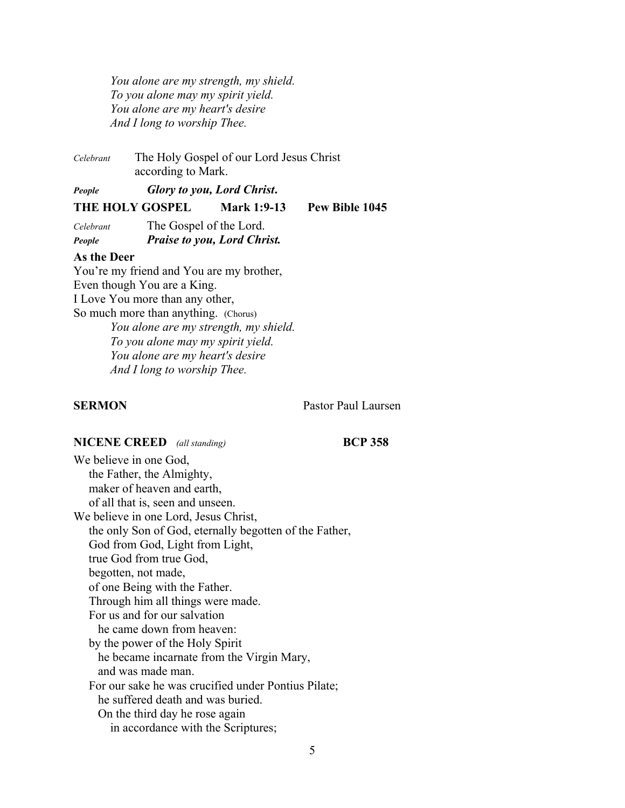*You alone are my strength, my shield. To you alone may my spirit yield. You alone are my heart's desire And I long to worship Thee.* 

*Celebrant* The Holy Gospel of our Lord Jesus Christ according to Mark.

*People Glory to you, Lord Christ***.**

**THE HOLY GOSPEL Mark 1:9-13 Pew Bible 1045** 

*Celebrant* The Gospel of the Lord. *People Praise to you, Lord Christ.* 

### **As the Deer**

You're my friend and You are my brother, Even though You are a King. I Love You more than any other, So much more than anything. (Chorus) *You alone are my strength, my shield. To you alone may my spirit yield. You alone are my heart's desire And I long to worship Thee.* 

**SERMON** Pastor Paul Laursen

### **NICENE CREED** *(all standing)* **BCP 358**

We believe in one God, the Father, the Almighty, maker of heaven and earth, of all that is, seen and unseen. We believe in one Lord, Jesus Christ, the only Son of God, eternally begotten of the Father, God from God, Light from Light, true God from true God, begotten, not made, of one Being with the Father. Through him all things were made. For us and for our salvation he came down from heaven: by the power of the Holy Spirit he became incarnate from the Virgin Mary, and was made man. For our sake he was crucified under Pontius Pilate; he suffered death and was buried. On the third day he rose again in accordance with the Scriptures;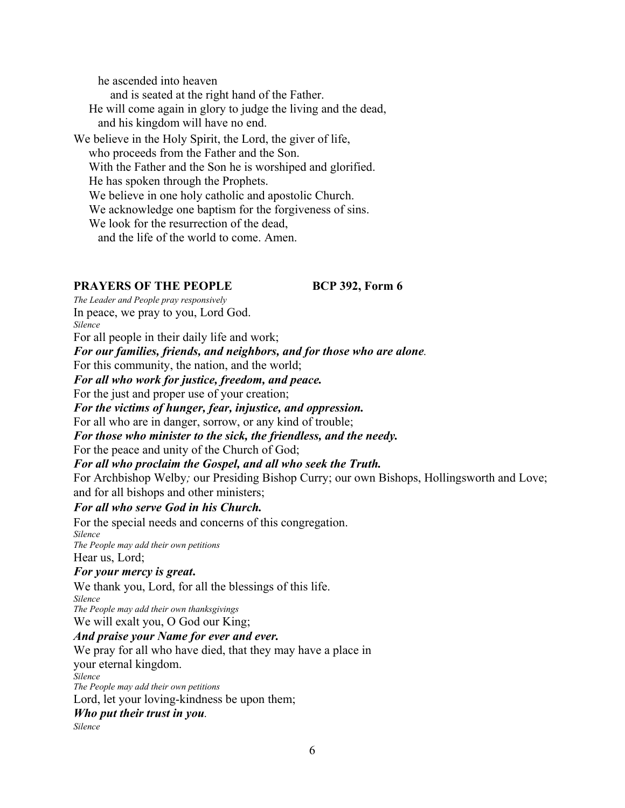he ascended into heaven and is seated at the right hand of the Father. He will come again in glory to judge the living and the dead, and his kingdom will have no end. We believe in the Holy Spirit, the Lord, the giver of life, who proceeds from the Father and the Son. With the Father and the Son he is worshiped and glorified. He has spoken through the Prophets. We believe in one holy catholic and apostolic Church. We acknowledge one baptism for the forgiveness of sins. We look for the resurrection of the dead, and the life of the world to come. Amen.

### **PRAYERS OF THE PEOPLE BCP 392, Form 6**

*The Leader and People pray responsively* In peace, we pray to you, Lord God.

*Silence* 

For all people in their daily life and work;

*For our families, friends, and neighbors, and for those who are alone.* 

For this community, the nation, and the world;

*For all who work for justice, freedom, and peace.*

For the just and proper use of your creation;

*For the victims of hunger, fear, injustice, and oppression.*

For all who are in danger, sorrow, or any kind of trouble;

*For those who minister to the sick, the friendless, and the needy.*

For the peace and unity of the Church of God;

*For all who proclaim the Gospel, and all who seek the Truth.*

For Archbishop Welby*;* our Presiding Bishop Curry; our own Bishops, Hollingsworth and Love; and for all bishops and other ministers;

## *For all who serve God in his Church.*

For the special needs and concerns of this congregation. *Silence The People may add their own petitions* Hear us, Lord;

### *For your mercy is great***.**

We thank you, Lord, for all the blessings of this life. *Silence The People may add their own thanksgivings* We will exalt you, O God our King;

### *And praise your Name for ever and ever.*

We pray for all who have died, that they may have a place in your eternal kingdom.

*Silence*

*The People may add their own petitions*

Lord, let your loving-kindness be upon them;

# *Who put their trust in you. Silence*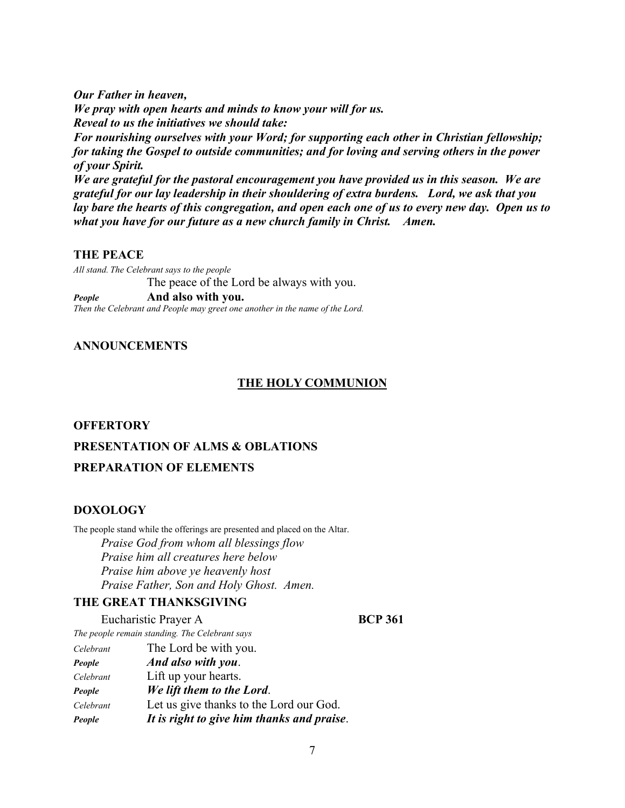*Our Father in heaven, We pray with open hearts and minds to know your will for us. Reveal to us the initiatives we should take: For nourishing ourselves with your Word; for supporting each other in Christian fellowship; for taking the Gospel to outside communities; and for loving and serving others in the power of your Spirit. We are grateful for the pastoral encouragement you have provided us in this season. We are grateful for our lay leadership in their shouldering of extra burdens. Lord, we ask that you lay bare the hearts of this congregation, and open each one of us to every new day. Open us to what you have for our future as a new church family in Christ. Amen.* 

### **THE PEACE**

*All stand. The Celebrant says to the people* The peace of the Lord be always with you. *People* **And also with you.**

*Then the Celebrant and People may greet one another in the name of the Lord.*

### **ANNOUNCEMENTS**

### **THE HOLY COMMUNION**

## **OFFERTORY PRESENTATION OF ALMS & OBLATIONS PREPARATION OF ELEMENTS**

### **DOXOLOGY**

The people stand while the offerings are presented and placed on the Altar.  *Praise God from whom all blessings flow Praise him all creatures here below Praise him above ye heavenly host Praise Father, Son and Holy Ghost. Amen.* 

### **THE GREAT THANKSGIVING**

Eucharistic Prayer A **BCP 361** *The people remain standing. The Celebrant says* 

*Celebrant* The Lord be with you. *People And also with you*. *Celebrant* Lift up your hearts. *People We lift them to the Lord*. *Celebrant* Let us give thanks to the Lord our God. *People It is right to give him thanks and praise*.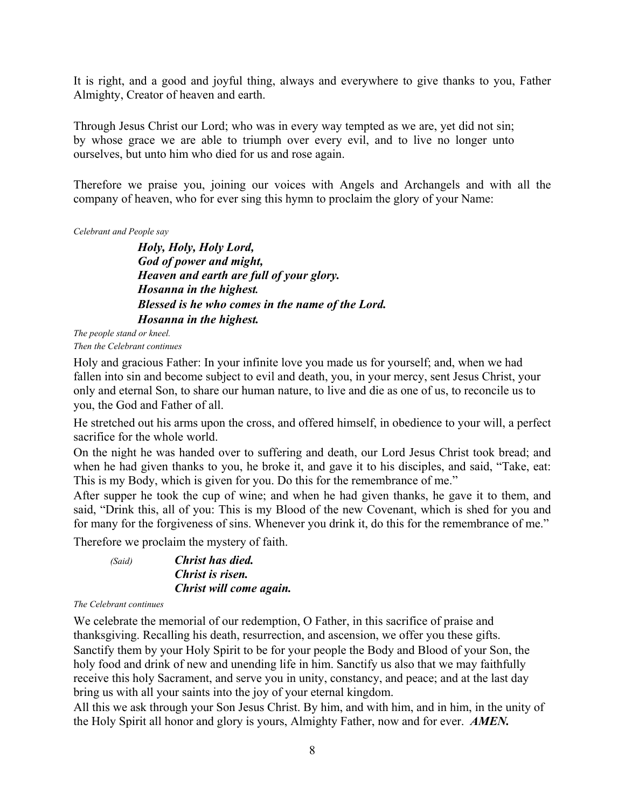It is right, and a good and joyful thing, always and everywhere to give thanks to you, Father Almighty, Creator of heaven and earth.

Through Jesus Christ our Lord; who was in every way tempted as we are, yet did not sin; by whose grace we are able to triumph over every evil, and to live no longer unto ourselves, but unto him who died for us and rose again.

Therefore we praise you, joining our voices with Angels and Archangels and with all the company of heaven, who for ever sing this hymn to proclaim the glory of your Name:

*Celebrant and People say* 

*Holy, Holy, Holy Lord, God of power and might, Heaven and earth are full of your glory. Hosanna in the highest. Blessed is he who comes in the name of the Lord. Hosanna in the highest.* 

*The people stand or kneel. Then the Celebrant continues* 

Holy and gracious Father: In your infinite love you made us for yourself; and, when we had fallen into sin and become subject to evil and death, you, in your mercy, sent Jesus Christ, your only and eternal Son, to share our human nature, to live and die as one of us, to reconcile us to you, the God and Father of all.

He stretched out his arms upon the cross, and offered himself, in obedience to your will, a perfect sacrifice for the whole world.

On the night he was handed over to suffering and death, our Lord Jesus Christ took bread; and when he had given thanks to you, he broke it, and gave it to his disciples, and said, "Take, eat: This is my Body, which is given for you. Do this for the remembrance of me."

After supper he took the cup of wine; and when he had given thanks, he gave it to them, and said, "Drink this, all of you: This is my Blood of the new Covenant, which is shed for you and for many for the forgiveness of sins. Whenever you drink it, do this for the remembrance of me."

Therefore we proclaim the mystery of faith.

### *(Said)**Christ has died. Christ is risen. Christ will come again.*

### *The Celebrant continues*

We celebrate the memorial of our redemption, O Father, in this sacrifice of praise and thanksgiving. Recalling his death, resurrection, and ascension, we offer you these gifts. Sanctify them by your Holy Spirit to be for your people the Body and Blood of your Son, the holy food and drink of new and unending life in him. Sanctify us also that we may faithfully receive this holy Sacrament, and serve you in unity, constancy, and peace; and at the last day bring us with all your saints into the joy of your eternal kingdom.

All this we ask through your Son Jesus Christ. By him, and with him, and in him, in the unity of the Holy Spirit all honor and glory is yours, Almighty Father, now and for ever. *AMEN.*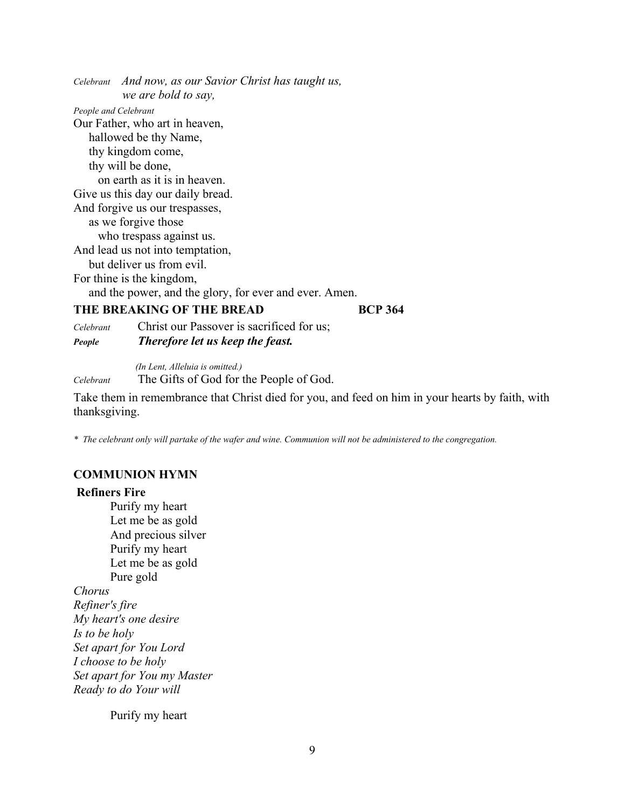*Celebrant And now, as our Savior Christ has taught us, we are bold to say, People and Celebrant*  Our Father, who art in heaven, hallowed be thy Name, thy kingdom come, thy will be done, on earth as it is in heaven. Give us this day our daily bread. And forgive us our trespasses, as we forgive those who trespass against us. And lead us not into temptation, but deliver us from evil. For thine is the kingdom, and the power, and the glory, for ever and ever. Amen. **THE BREAKING OF THE BREAD BCP 364**  *Celebrant* Christ our Passover is sacrificed for us;

*People Therefore let us keep the feast.* 

 *(In Lent, Alleluia is omitted.) Celebrant* The Gifts of God for the People of God.

Take them in remembrance that Christ died for you, and feed on him in your hearts by faith, with thanksgiving.

*\* The celebrant only will partake of the wafer and wine. Communion will not be administered to the congregation.* 

### **COMMUNION HYMN**

### **Refiners Fire**

Purify my heart Let me be as gold And precious silver Purify my heart Let me be as gold Pure gold

*Chorus Refiner's fire My heart's one desire Is to be holy Set apart for You Lord I choose to be holy Set apart for You my Master Ready to do Your will* 

Purify my heart